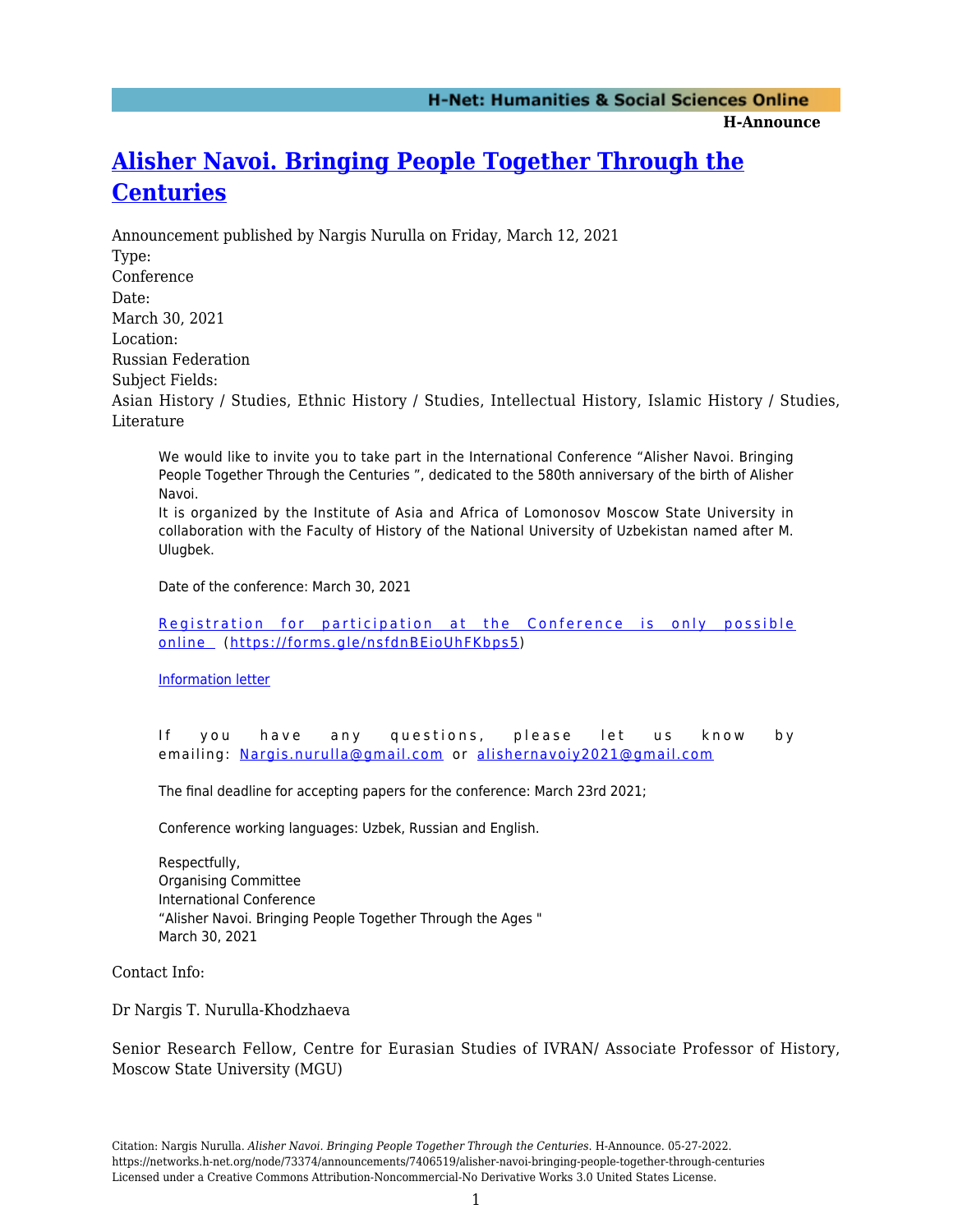**H-Announce** 

## **[Alisher Navoi. Bringing People Together Through the](https://networks.h-net.org/node/73374/announcements/7406519/alisher-navoi-bringing-people-together-through-centuries) [Centuries](https://networks.h-net.org/node/73374/announcements/7406519/alisher-navoi-bringing-people-together-through-centuries)**

Announcement published by Nargis Nurulla on Friday, March 12, 2021 Type: Conference Date: March 30, 2021 Location: Russian Federation Subject Fields: Asian History / Studies, Ethnic History / Studies, Intellectual History, Islamic History / Studies, Literature

We would like to invite you to take part in the International Conference "Alisher Navoi. Bringing People Together Through the Centuries ", dedicated to the 580th anniversary of the birth of Alisher Navoi.

It is organized by the Institute of Asia and Africa of Lomonosov Moscow State University in collaboration with the Faculty of History of the National University of Uzbekistan named after M. Ulugbek.

Date of the conference: March 30, 2021

[Registration for participation at the Conference is only possible](https://forms.gle/zKATvFzU3sN6xWE29) [online](https://forms.gle/zKATvFzU3sN6xWE29) ([https://forms.gle/nsfdnBEioUhFKbps5\)](https://forms.gle/nsfdnBEioUhFKbps5)

[Information letter](https://drive.google.com/file/d/1edFAUwbXiZr1QOIdpOm1aibhfgG0iKnh/view?usp=sharing)

If you have any questions, please let us know by emailing: [Nargis.nurulla@gmail.com](mailto:Nargis.nurulla@gmail.com) or [alishernavoiy2021@gmail.com](mailto:alishernavoiy2021@gmail.com)

The final deadline for accepting papers for the conference: March 23rd 2021;

Conference working languages: Uzbek, Russian and English.

Respectfully, Organising Committee International Conference "Alisher Navoi. Bringing People Together Through the Ages " March 30, 2021

Contact Info:

Dr Nargis T. Nurulla-Khodzhaeva

Senior Research Fellow, Centre for Eurasian Studies of IVRAN/ Associate Professor of History, Moscow State University (MGU)